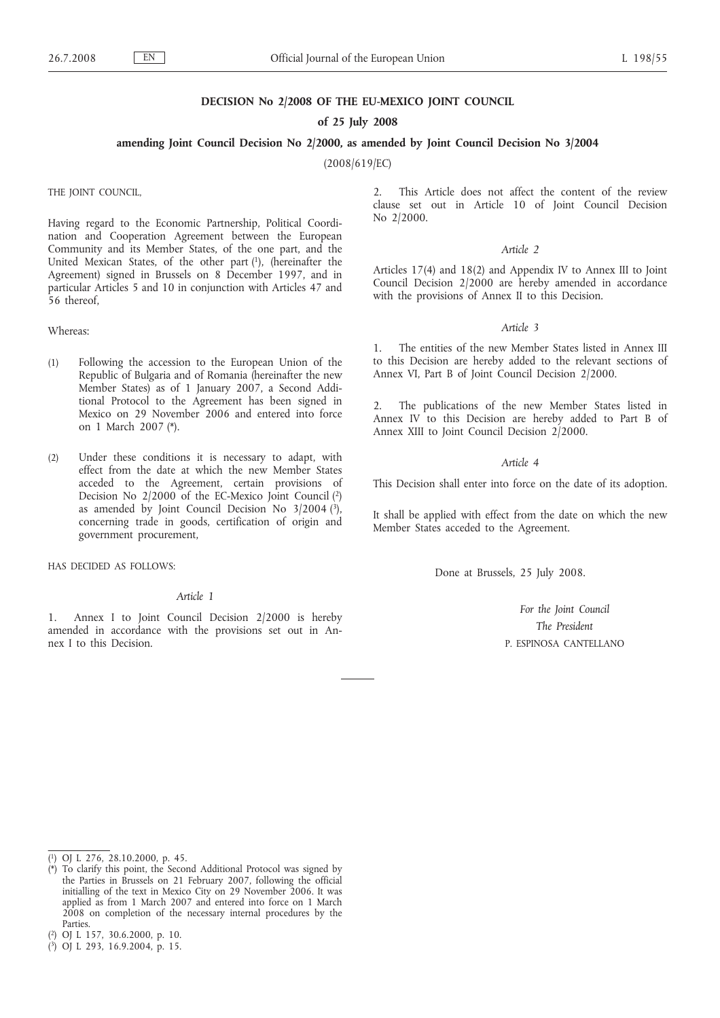### **DECISION No 2/2008 OF THE EU-MEXICO JOINT COUNCIL**

### **of 25 July 2008**

## **amending Joint Council Decision No 2/2000, as amended by Joint Council Decision No 3/2004**

(2008/619/EC)

THE JOINT COUNCIL,

Having regard to the Economic Partnership, Political Coordination and Cooperation Agreement between the European Community and its Member States, of the one part, and the United Mexican States, of the other part (1), (hereinafter the Agreement) signed in Brussels on 8 December 1997, and in particular Articles 5 and 10 in conjunction with Articles 47 and 56 thereof.

#### Whereas:

- (1) Following the accession to the European Union of the Republic of Bulgaria and of Romania (hereinafter the new Member States) as of 1 January 2007, a Second Additional Protocol to the Agreement has been signed in Mexico on 29 November 2006 and entered into force on 1 March 2007 (\*).
- (2) Under these conditions it is necessary to adapt, with effect from the date at which the new Member States acceded to the Agreement, certain provisions of Decision No 2/2000 of the EC-Mexico Joint Council (2) as amended by Joint Council Decision No  $3/2004$  (3), concerning trade in goods, certification of origin and government procurement,

HAS DECIDED AS FOLLOWS:

### *Article 1*

Annex I to Joint Council Decision 2/2000 is hereby amended in accordance with the provisions set out in Annex I to this Decision.

2. This Article does not affect the content of the review clause set out in Article 10 of Joint Council Decision No 2/2000.

#### *Article 2*

Articles 17(4) and 18(2) and Appendix IV to Annex III to Joint Council Decision 2/2000 are hereby amended in accordance with the provisions of Annex II to this Decision.

### *Article 3*

1. The entities of the new Member States listed in Annex III to this Decision are hereby added to the relevant sections of Annex VI, Part B of Joint Council Decision 2/2000.

2. The publications of the new Member States listed in Annex IV to this Decision are hereby added to Part B of Annex XIII to Joint Council Decision 2/2000.

# *Article 4*

This Decision shall enter into force on the date of its adoption.

It shall be applied with effect from the date on which the new Member States acceded to the Agreement.

Done at Brussels, 25 July 2008.

*For the Joint Council The President* P. ESPINOSA CANTELLANO

<sup>(</sup> 1) OJ L 276, 28.10.2000, p. 45.

<sup>(\*)</sup> To clarify this point, the Second Additional Protocol was signed by the Parties in Brussels on 21 February 2007, following the official initialling of the text in Mexico City on 29 November 2006. It was applied as from 1 March 2007 and entered into force on 1 March 2008 on completion of the necessary internal procedures by the Parties.

<sup>(</sup> 2) OJ L 157, 30.6.2000, p. 10.

<sup>(</sup> 3) OJ L 293, 16.9.2004, p. 15.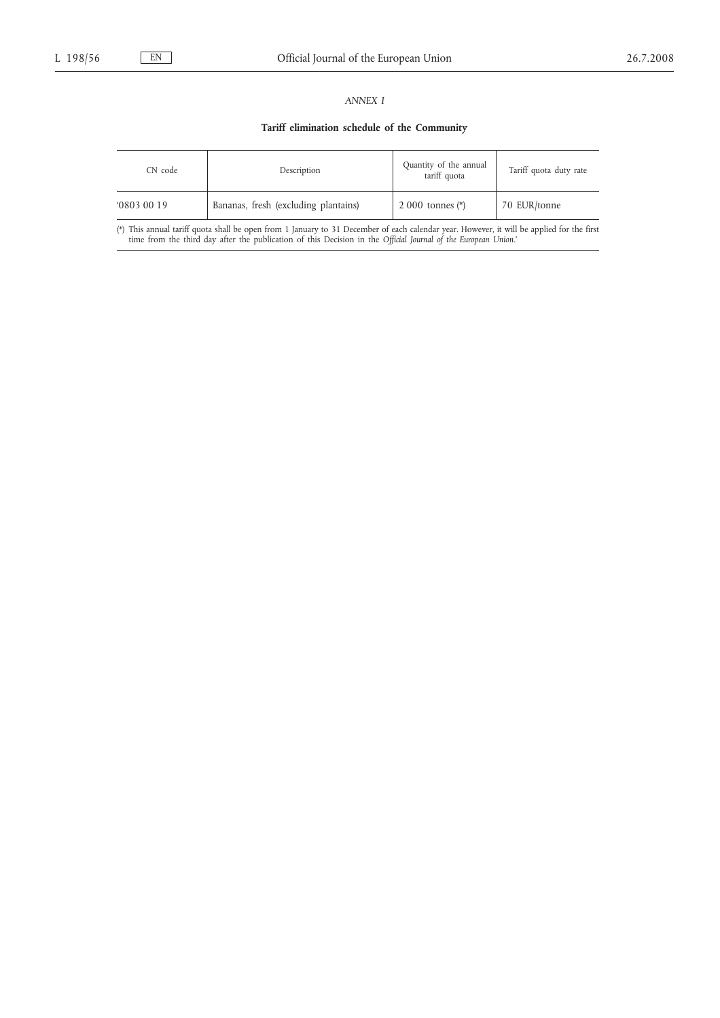# *ANNEX I*

# **Tariff elimination schedule of the Community**

| CN code<br>Description |                                      | Quantity of the annual<br>tariff quota | Tariff quota duty rate |  |
|------------------------|--------------------------------------|----------------------------------------|------------------------|--|
| 08030019               | Bananas, fresh (excluding plantains) | 2 000 tonnes $(*)$                     | 70 EUR/tonne           |  |

(\*) This annual tariff quota shall be open from 1 January to 31 December of each calendar year. However, it will be applied for the first time from the third day after the publication of this Decision in the Official Journ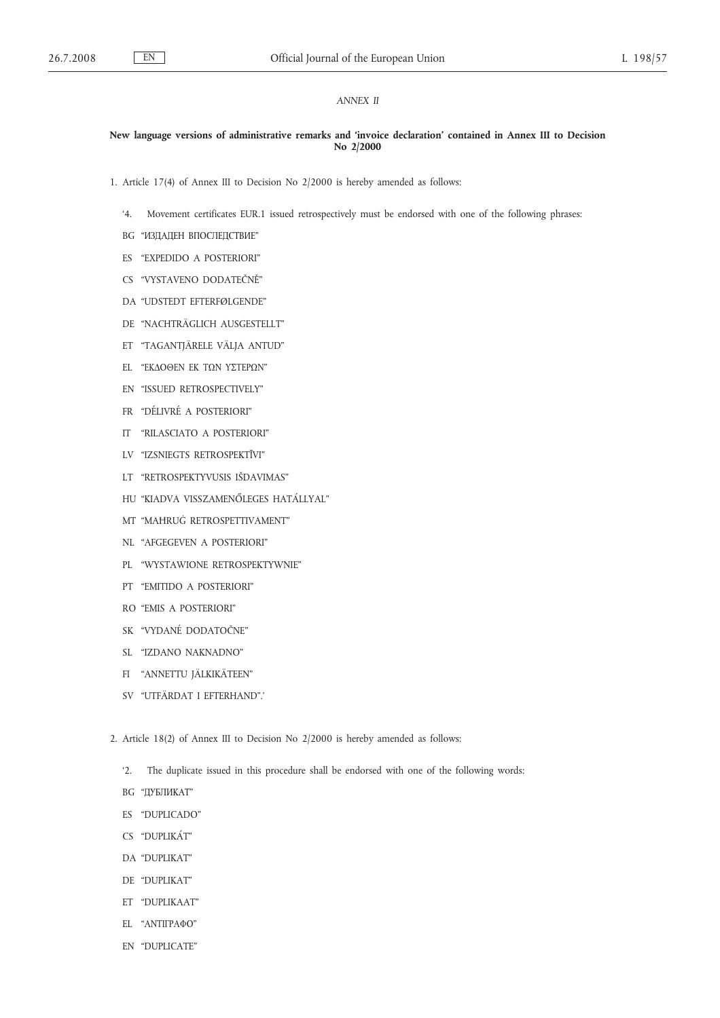# *ANNEX II*

## **New language versions of administrative remarks and 'invoice declaration' contained in Annex III to Decision No 2/2000**

1. Article 17(4) of Annex III to Decision No 2/2000 is hereby amended as follows:

- '4. Movement certificates EUR.1 issued retrospectively must be endorsed with one of the following phrases:
- BG "ИЗДАДЕН ВПОСЛЕДСТВИЕ"
- ES "EXPEDIDO A POSTERIORI"
- CS "VYSTAVENO DODATEČNĚ"
- DA "UDSTEDT EFTERFØLGENDE"
- DE "NACHTRÄGLICH AUSGESTELLT"
- ET "TAGANTJÄRELE VÄLJA ANTUD"
- EL "ΕΚΔΟΘΕΝ ΕΚ ΤΩΝ ΥΣΤΕΡΩΝ"
- EN "ISSUED RETROSPECTIVELY"
- FR "DÉLIVRÉ A POSTERIORI"
- IT "RILASCIATO A POSTERIORI"
- LV "IZSNIEGTS RETROSPEKTĪVI"
- LT "RETROSPEKTYVUSIS IŠDAVIMAS"
- HU "KIADVA VISSZAMENŐLEGES HATÁLLYAL"
- MT "MAĦRUĠ RETROSPETTIVAMENT"
- NL "AFGEGEVEN A POSTERIORI"
- PL "WYSTAWIONE RETROSPEKTYWNIE"
- PT "EMITIDO A POSTERIORI"
- RO "EMIS A POSTERIORI"
- SK "VYDANÉ DODATOČNE"
- SL "IZDANO NAKNADNO"
- FI "ANNETTU JÄLKIKÄTEEN"
- SV "UTFÄRDAT I EFTERHAND".'
- 2. Article 18(2) of Annex III to Decision No 2/2000 is hereby amended as follows:
	- '2. The duplicate issued in this procedure shall be endorsed with one of the following words:
	- BG "ДУБЛИКАТ"
	- ES "DUPLICADO"
	- CS "DUPLIKÁT"
	- DA "DUPLIKAT"
	- DE "DUPLIKAT"
	- ET "DUPLIKAAT"
	- EL "ΑΝΤΙΓΡΑΦΟ"
	- EN "DUPLICATE"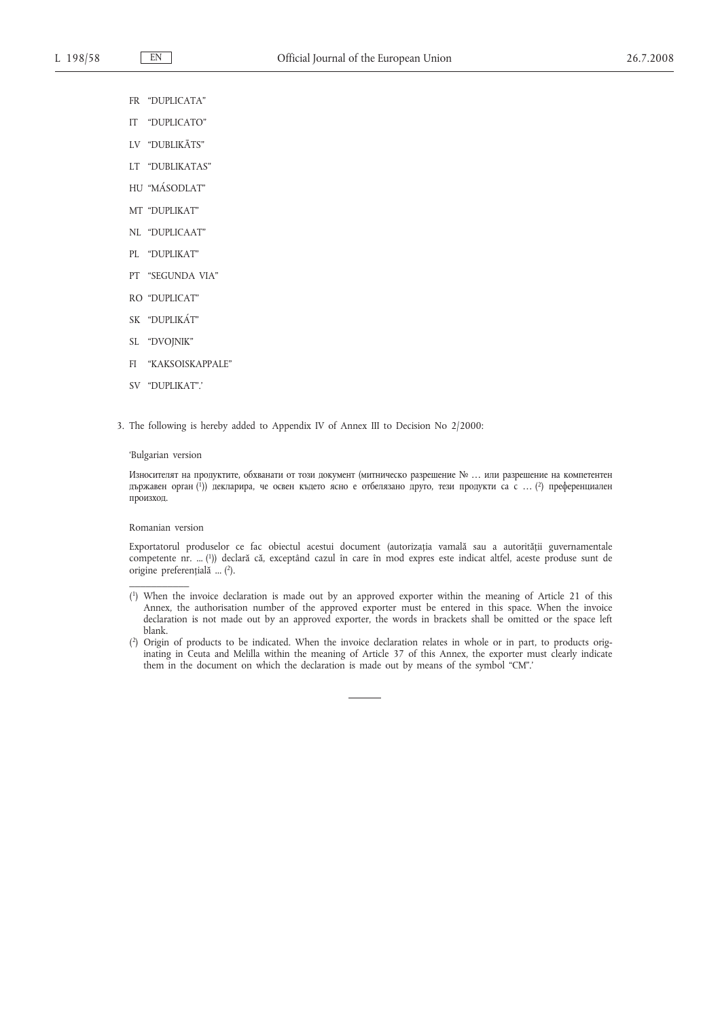- FR "DUPLICATA"
- IT "DUPLICATO"
- LV "DUBLIKĀTS"
- LT "DUBLIKATAS"
- HU "MÁSODLAT"
- MT "DUPLIKAT"
- NL "DUPLICAAT"
- PL "DUPLIKAT"
- PT "SEGUNDA VIA"
- RO "DUPLICAT"
- SK "DUPLIKÁT"
- SL "DVOJNIK"
- FI "KAKSOISKAPPALE"
- SV "DUPLIKAT".'
- 3. The following is hereby added to Appendix IV of Annex III to Decision No 2/2000:

### 'Bulgarian version

Износителят на продуктите, обхванати от този документ (митническо разрешение № … или разрешение на компетентен държавен орган ( 1)) декларира, че освен където ясно е отбелязано друго, тези продукти са с … ( 2) преференциален произход.

# Romanian version

 $\overline{\phantom{a}}$ 

Exportatorul produselor ce fac obiectul acestui document (autorizația vamală sau a autorității guvernamentale competente nr. ... (1)) declară că, exceptând cazul în care în mod expres este indicat altfel, aceste produse sunt de origine preferențială ... (2).

- ( 1) When the invoice declaration is made out by an approved exporter within the meaning of Article 21 of this Annex, the authorisation number of the approved exporter must be entered in this space. When the invoice declaration is not made out by an approved exporter, the words in brackets shall be omitted or the space left blank.
- ( 2) Origin of products to be indicated. When the invoice declaration relates in whole or in part, to products originating in Ceuta and Melilla within the meaning of Article 37 of this Annex, the exporter must clearly indicate them in the document on which the declaration is made out by means of the symbol "CM".'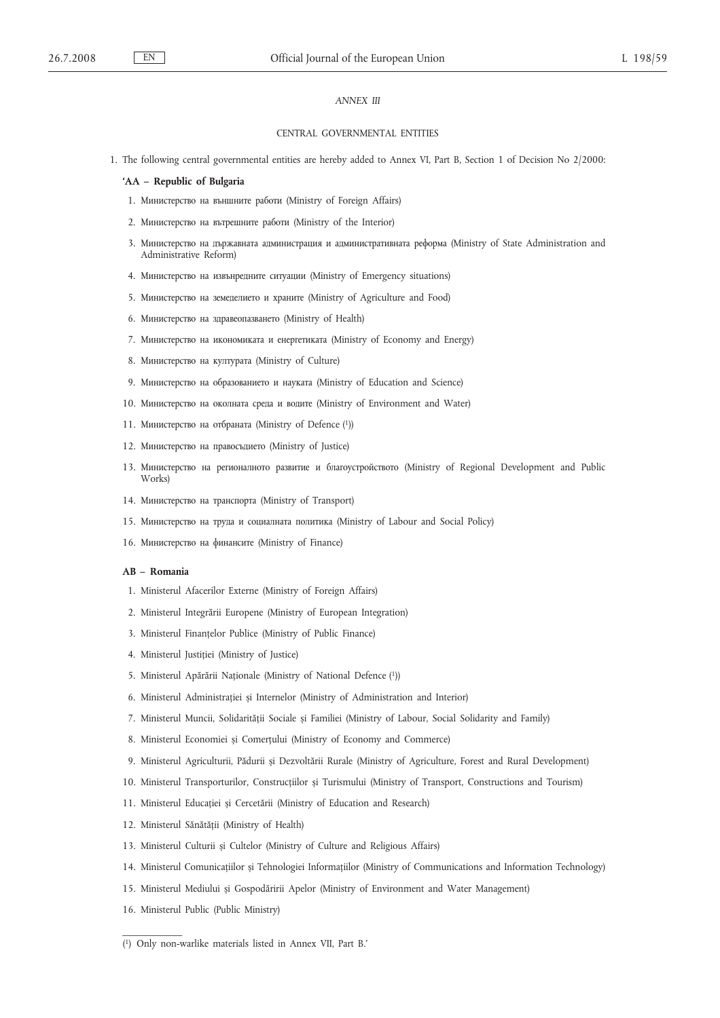# *ANNEX III*

#### CENTRAL GOVERNMENTAL ENTITIES

1. The following central governmental entities are hereby added to Annex VI, Part B, Section 1 of Decision No 2/2000:

## **'AA – Republic of Bulgaria**

- 1. Министерство на външните работи (Ministry of Foreign Affairs)
- 2. Министерство на вътрешните работи (Ministry of the Interior)
- 3. Министерство на държавната администрация и административната реформа (Ministry of State Administration and Administrative Reform)
- 4. Министерство на извънредните ситуации (Ministry of Еmergency situations)
- 5. Министерство на земеделието и храните (Ministry of Agriculture and Food)
- 6. Министерство на здравеопазването (Ministry of Health)
- 7. Министерство на икономиката и енергетиката (Ministry of Economy and Energy)
- 8. Министерство на културата (Ministry of Culture)
- 9. Министерство на образованието и науката (Ministry of Education and Science)
- 10. Министерство на околната среда и водите (Ministry of Environment and Water)
- 11. Министерство на отбраната (Ministry of Defence (1))
- 12. Министерство на правосъдието (Ministry of Justice)
- 13. Министерство на регионалното развитие и благоустройството (Ministry of Regional Development and Public Works)
- 14. Министерство на транспорта (Ministry of Transport)
- 15. Министерство на труда и социалната политика (Ministry of Labour and Social Policy)
- 16. Министерство на финансите (Ministry of Finance)

### **AB – Romania**

- 1. Ministerul Afacerilor Externe (Ministry of Foreign Affairs)
- 2. Ministerul Integrării Europene (Ministry of European Integration)
- 3. Ministerul Finanțelor Publice (Ministry of Public Finance)
- 4. Ministerul Justiției (Ministry of Justice)
- 5. Ministerul Apărării Naționale (Ministry of National Defence (1))
- 6. Ministerul Administrației și Internelor (Ministry of Administration and Interior)
- 7. Ministerul Muncii, Solidarității Sociale și Familiei (Ministry of Labour, Social Solidarity and Family)
- 8. Ministerul Economiei și Comerțului (Ministry of Economy and Commerce)
- 9. Ministerul Agriculturii, Pădurii și Dezvoltării Rurale (Ministry of Agriculture, Forest and Rural Development)
- 10. Ministerul Transporturilor, Construcțiilor și Turismului (Ministry of Transport, Constructions and Tourism)
- 11. Ministerul Educației și Cercetării (Ministry of Education and Research)
- 12. Ministerul Sănătății (Ministry of Health)
- 13. Ministerul Culturii și Cultelor (Ministry of Culture and Religious Affairs)
- 14. Ministerul Comunicațiilor și Tehnologiei Informațiilor (Ministry of Communications and Information Technology)
- 15. Ministerul Mediului și Gospodăririi Apelor (Ministry of Environment and Water Management)
- 16. Ministerul Public (Public Ministry)

 $\overline{\phantom{a}}$  , where  $\overline{\phantom{a}}$ 

<sup>(</sup> 1) Only non-warlike materials listed in Annex VII, Part B.'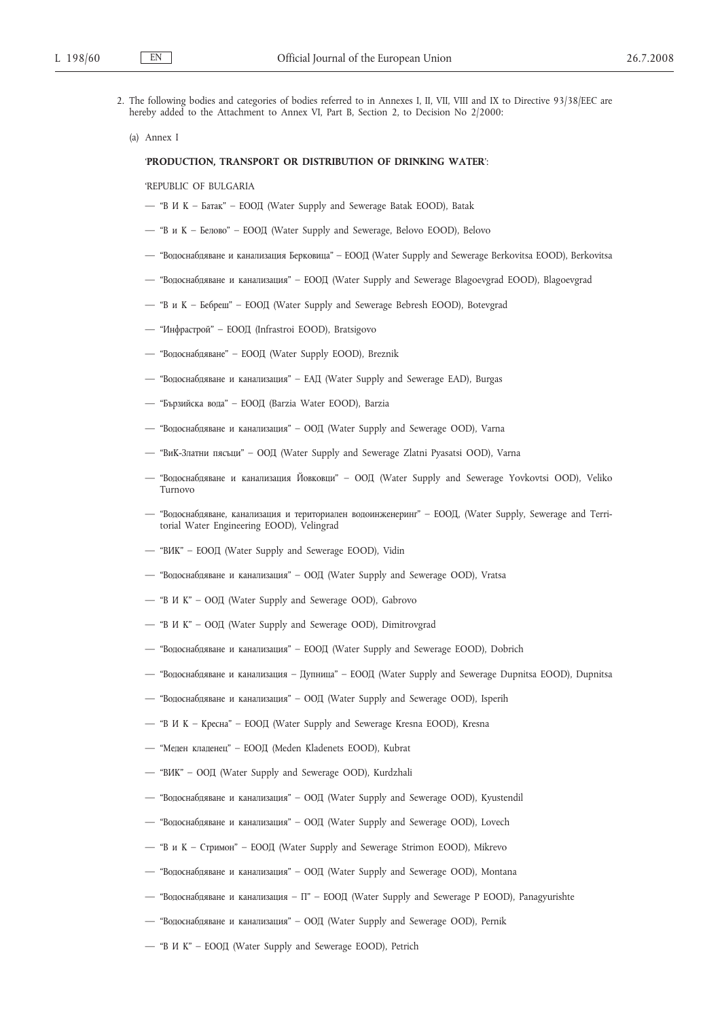- 2. The following bodies and categories of bodies referred to in Annexes I, II, VII, VIII and IX to Directive 93/38/EEC are hereby added to the Attachment to Annex VI, Part B, Section 2, to Decision No 2/2000:
	- (a) Annex I

#### '**PRODUCTION, TRANSPORT OR DISTRIBUTION OF DRINKING WATER**':

'REPUBLIC OF BULGARIA

- "ВИК Батак" ЕООД (Water Supply and Sewerage Batak EOOD), Batak
- "ВиК Белово" ЕООД (Water Supply and Sewerage, Belovo EOOD), Belovo
- "Водоснабдяване и канализация Берковица" ЕООД (Water Supply and Sewerage Berkovitsa EOOD), Berkovitsa
- "Водоснабдяване и канализация" ЕООД (Water Supply and Sewerage Blagoevgrad EOOD), Blagoevgrad
- "ВиК Бебреш" ЕООД (Water Supply and Sewerage Bebresh EOOD), Botevgrad
- "Инфрастрой" ЕООД (Infrastroi EOOD), Bratsigovo
- "Водоснабдяване" ЕООД (Water Supply EOOD), Breznik
- "Водоснабдяване и канализация" ЕАД (Water Supply and Sewerage EAD), Burgas
- "Бързийска вода" ЕООД (Barzia Water EOOD), Barzia
- "Водоснабдяване и канализация" ООД (Water Supply and Sewerage OOD), Varna
- "ВиК-Златни пясъци" ООД (Water Supply and Sewerage Zlatni Pyasatsi OOD), Varna
- "Водоснабдяване и канализация Йовковци" ООД (Water Supply and Sewerage Yovkovtsi OOD), Veliko Turnovo
- "Водоснабдяване, канализация и териториален водоинженеринг" ЕООД, (Water Supply, Sewerage and Territorial Water Engineering EOOD), Velingrad
- "ВИК" ЕООД (Water Supply and Sewerage EOOD), Vidin
- "Водоснабдяване и канализация" ООД (Water Supply and Sewerage OOD), Vratsa
- "ВИК" ООД (Water Supply and Sewerage OOD), Gabrovo
- "ВИК" ООД (Water Supply and Sewerage OOD), Dimitrovgrad
- "Водоснабдяване и канализация" ЕООД (Water Supply and Sewerage EOOD), Dobrich
- "Водоснабдяване и канализация Дупница" ЕООД (Water Supply and Sewerage Dupnitsa EOOD), Dupnitsa
- "Водоснабдяване и канализация" ООД (Water Supply and Sewerage OOD), Isperih
- "ВИК Кресна" ЕООД (Water Supply and Sewerage Kresna EOOD), Kresna
- "Меден кладенец" ЕООД (Meden Kladenets EOOD), Kubrat
- "ВИК" ООД (Water Supply and Sewerage OOD), Kurdzhali
- "Водоснабдяване и канализация" ООД (Water Supply and Sewerage OOD), Kyustendil
- "Водоснабдяване и канализация" ООД (Water Supply and Sewerage OOD), Lovech
- "ВиК Стримон" ЕООД (Water Supply and Sewerage Strimon EOOD), Mikrevo
- "Водоснабдяване и канализация" ООД (Water Supply and Sewerage OOD), Montana
- "Водоснабдяване и канализация П" ЕООД (Water Supply and Sewerage P EOOD), Panagyurishte
- "Водоснабдяване и канализация" ООД (Water Supply and Sewerage OOD), Pernik
- "ВИК" ЕООД (Water Supply and Sewerage EOOD), Petrich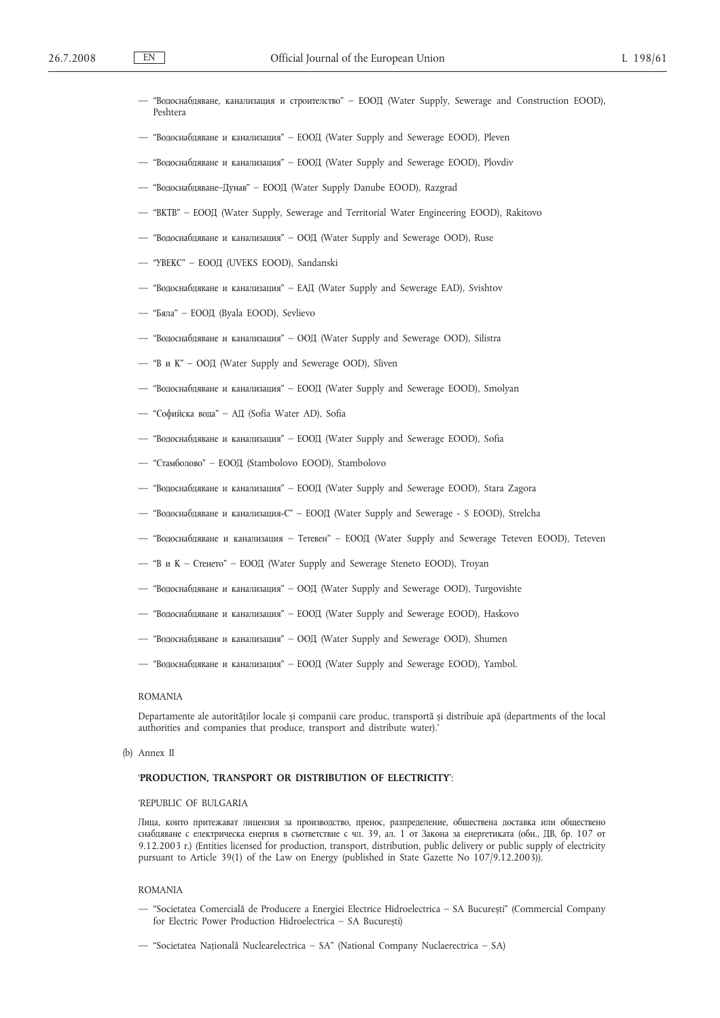| - "Водоснабдяване, канализация и строителство" - ЕООД (Water Supply, Sewerage and Construction EOOD), |  |  |  |  |  |  |
|-------------------------------------------------------------------------------------------------------|--|--|--|--|--|--|
| Peshtera                                                                                              |  |  |  |  |  |  |

- "Водоснабдяване и канализация" ЕООД (Water Supply and Sewerage EOOD), Pleven
- "Водоснабдяване и канализация" ЕООД (Water Supply and Sewerage EOOD), Plovdiv
- "Водоснабдяване–Дунав" ЕООД (Water Supply Danube EOOD), Razgrad
- "ВКТВ" ЕООД (Water Supply, Sewerage and Territorial Water Engineering EOOD), Rakitovo
- "Водоснабдяване и канализация" ООД (Water Supply and Sewerage OOD), Ruse
- "УВЕКС" ЕООД (UVEKS EOOD), Sandanski
- "Водоснабдяване и канализация" ЕАД (Water Supply and Sewerage EAD), Svishtov
- "Бяла" ЕООД (Byala EOOD), Sevlievo
- "Водоснабдяване и канализация" ООД (Water Supply and Sewerage OOD), Silistra
- "ВиК" ООД (Water Supply and Sewerage OOD), Sliven
- "Водоснабдяване и канализация" ЕООД (Water Supply and Sewerage EOOD), Smolyan
- "Софийска вода" АД (Sofia Water AD), Sofia
- "Водоснабдяване и канализация" ЕООД (Water Supply and Sewerage EOOD), Sofia
- "Стамболово" ЕООД (Stambolovo EOOD), Stambolovo
- "Водоснабдяване и канализация" ЕООД (Water Supply and Sewerage EOOD), Stara Zagora
- "Водоснабдяване и канализация-С" ЕООД (Water Supply and Sewerage S EOOD), Strelcha
- "Водоснабдяване и канализация Тетевен" ЕООД (Water Supply and Sewerage Teteven EOOD), Teteven
- "ВиК Стенето" ЕООД (Water Supply and Sewerage Steneto EOOD), Troyan
- "Водоснабдяване и канализация" ООД (Water Supply and Sewerage OOD), Turgovishte
- "Водоснабдяване и канализация" ЕООД (Water Supply and Sewerage EOOD), Haskovo
- "Водоснабдяване и канализация" ООД (Water Supply and Sewerage OOD), Shumen
- "Водоснабдяване и канализация" ЕООД (Water Supply and Sewerage EOOD), Yambol.

#### ROMANIA

Departamente ale autorităților locale și companii care produc, transportă și distribuie apă (departments of the local authorities and companies that produce, transport and distribute water).'

(b) Annex II

# '**PRODUCTION, TRANSPORT OR DISTRIBUTION OF ELECTRICITY**':

#### 'REPUBLIC OF BULGARIA

Лица, които притежават лицензия за производство, пренос, разпределение, обществена доставка или обществено снабдяване с електрическа енергия в съответствие с чл. 39, ал. 1 от Закона за енергетиката (обн., ДВ, бр. 107 от 9.12.2003 г.) (Entities licensed for production, transport, distribution, public delivery or public supply of electricity pursuant to Article 39(1) of the Law on Energy (published in State Gazette No 107/9.12.2003)).

#### ROMANIA

- "Societatea Comercială de Producere a Energiei Electrice Hidroelectrica SA București" (Commercial Company for Electric Power Production Hidroelectrica – SA București)
- "Societatea Națională Nuclearelectrica SA" (National Company Nuclaerectrica SA)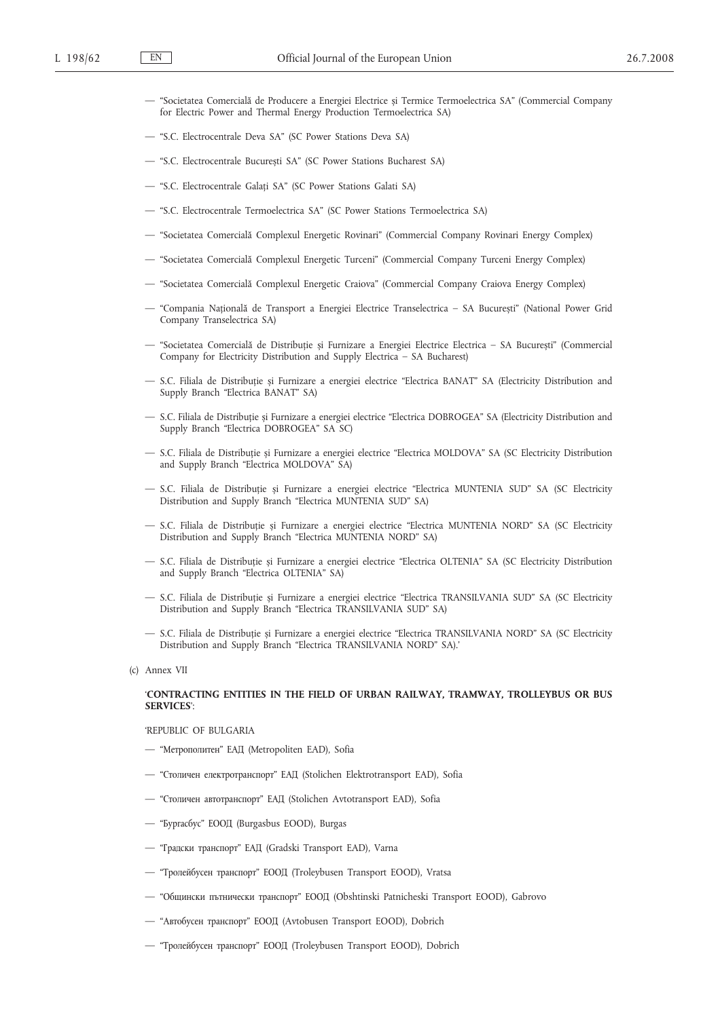- "Societatea Comercială de Producere a Energiei Electrice și Termice Termoelectrica SA" (Commercial Company for Electric Power and Thermal Energy Production Termoelectrica SA)
- "S.C. Electrocentrale Deva SA" (SC Power Stations Deva SA)
- "S.C. Electrocentrale București SA" (SC Power Stations Bucharest SA)
- "S.C. Electrocentrale Galați SA" (SC Power Stations Galati SA)
- "S.C. Electrocentrale Termoelectrica SA" (SC Power Stations Termoelectrica SA)
- "Societatea Comercială Complexul Energetic Rovinari" (Commercial Company Rovinari Energy Complex)
- "Societatea Comercială Complexul Energetic Turceni" (Commercial Company Turceni Energy Complex)
- "Societatea Comercială Complexul Energetic Craiova" (Commercial Company Craiova Energy Complex)
- "Compania Națională de Transport a Energiei Electrice Transelectrica SA București" (National Power Grid Company Transelectrica SA)
- "Societatea Comercială de Distribuție și Furnizare a Energiei Electrice Electrica SA București" (Commercial Company for Electricity Distribution and Supply Electrica – SA Bucharest)
- S.C. Filiala de Distribuție și Furnizare a energiei electrice "Electrica BANAT" SA (Electricity Distribution and Supply Branch "Electrica BANAT" SA)
- S.C. Filiala de Distribuție și Furnizare a energiei electrice "Electrica DOBROGEA" SA (Electricity Distribution and Supply Branch "Electrica DOBROGEA" SA SC)
- S.C. Filiala de Distribuție și Furnizare a energiei electrice "Electrica MOLDOVA" SA (SC Electricity Distribution and Supply Branch "Electrica MOLDOVA" SA)
- S.C. Filiala de Distribuție și Furnizare a energiei electrice "Electrica MUNTENIA SUD" SA (SC Electricity Distribution and Supply Branch "Electrica MUNTENIA SUD" SA)
- S.C. Filiala de Distribuție și Furnizare a energiei electrice "Electrica MUNTENIA NORD" SA (SC Electricity Distribution and Supply Branch "Electrica MUNTENIA NORD" SA)
- S.C. Filiala de Distribuție și Furnizare a energiei electrice "Electrica OLTENIA" SA (SC Electricity Distribution and Supply Branch "Electrica OLTENIA" SA)
- S.C. Filiala de Distribuție și Furnizare a energiei electrice "Electrica TRANSILVANIA SUD" SA (SC Electricity Distribution and Supply Branch "Electrica TRANSILVANIA SUD" SA)
- S.C. Filiala de Distribuție și Furnizare a energiei electrice "Electrica TRANSILVANIA NORD" SA (SC Electricity Distribution and Supply Branch "Electrica TRANSILVANIA NORD" SA).'
- (c) Annex VII

# '**CONTRACTING ENTITIES IN THE FIELD OF URBAN RAILWAY, TRAMWAY, TROLLEYBUS OR BUS SERVICES**':

### 'REPUBLIC OF BULGARIA

- "Метрополитен" ЕАД (Metropoliten EAD), Sofia
- "Столичен електротранспорт" ЕАД (Stolichen Elektrotransport EAD), Sofia
- "Столичен автотранспорт" ЕАД (Stolichen Avtotransport EAD), Sofia
- "Бургасбус" ЕООД (Burgasbus EOOD), Burgas
- "Градски транспорт" ЕАД (Gradski Transport EAD), Varna
- "Тролейбусен транспорт" ЕООД (Troleybusen Transport EOOD), Vratsa
- "Общински пътнически транспорт" ЕООД (Obshtinski Patnicheski Transport EOOD), Gabrovo
- "Автобусен транспорт" ЕООД (Avtobusen Transport EOOD), Dobrich
- "Тролейбусен транспорт" ЕООД (Troleybusen Transport EOOD), Dobrich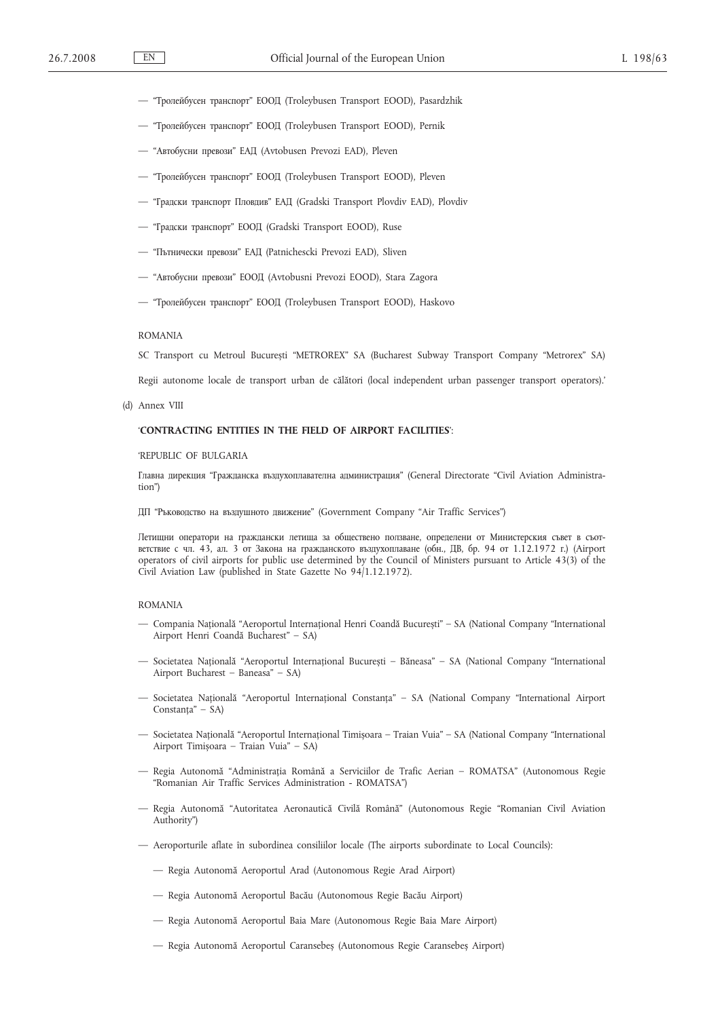- "Тролейбусен транспорт" ЕООД (Troleybusen Transport EOOD), Pasardzhik
- "Тролейбусен транспорт" ЕООД (Troleybusen Transport EOOD), Pernik
- "Автобусни превози" ЕАД (Avtobusen Prevozi EAD), Pleven
- "Тролейбусен транспорт" ЕООД (Troleybusen Transport EOOD), Pleven
- "Градски транспорт Пловдив" ЕАД (Gradski Transport Plovdiv EAD), Plovdiv
- "Градски транспорт" ЕООД (Gradski Transport EOOD), Ruse
- "Пътнически превози" ЕАД (Patnichescki Prevozi EAD), Sliven
- "Автобусни превози" ЕООД (Avtobusni Prevozi EOOD), Stara Zagora
- "Тролейбусен транспорт" ЕООД (Troleybusen Transport EOOD), Haskovo

### ROMANIA

SC Transport cu Metroul București "METROREX" SA (Bucharest Subway Transport Company "Metrorex" SA)

Regii autonome locale de transport urban de călători (local independent urban passenger transport operators).'

(d) Annex VIII

# '**CONTRACTING ENTITIES IN THE FIELD OF AIRPORT FACILITIES**':

### 'REPUBLIC OF BULGARIA

Главна дирекция "Гражданска въздухоплавателна администрация" (General Directorate "Civil Aviation Administration")

ДП "Ръководство на въздушното движение" (Government Company "Air Traffic Services")

Летищни оператори на граждански летища за обществено ползване, определени от Министерския съвет в съответствие с чл. 43, ал. 3 от Закона на гражданското въздухоплаване (обн., ДВ, бр. 94 от 1.12.1972 г.) (Airport operators of civil airports for public use determined by the Council of Ministers pursuant to Article 43(3) of the Civil Aviation Law (published in State Gazette No 94/1.12.1972).

### ROMANIA

- Compania Națională "Aeroportul Internațional Henri Coandă București" SA (National Company "International Airport Henri Coandă Bucharest" – SA)
- Societatea Națională "Aeroportul Internațional București Băneasa" SA (National Company "International Airport Bucharest – Baneasa" – SA)
- Societatea Națională "Aeroportul Internațional Constanța" SA (National Company "International Airport Constanța" – SA)
- Societatea Națională "Aeroportul Internațional Timișoara Traian Vuia" SA (National Company "International Airport Timișoara – Traian Vuia" – SA)
- Regia Autonomă "Administrația Română a Serviciilor de Trafic Aerian ROMATSA" (Autonomous Regie "Romanian Air Traffic Services Administration - ROMATSA")
- Regia Autonomă "Autoritatea Aeronautică Civilă Română" (Autonomous Regie "Romanian Civil Aviation Authority")
- Aeroporturile aflate în subordinea consiliilor locale (The airports subordinate to Local Councils):
	- Regia Autonomă Aeroportul Arad (Autonomous Regie Arad Airport)
	- Regia Autonomă Aeroportul Bacău (Autonomous Regie Bacău Airport)
	- Regia Autonomă Aeroportul Baia Mare (Autonomous Regie Baia Mare Airport)
	- Regia Autonomă Aeroportul Caransebeș (Autonomous Regie Caransebeș Airport)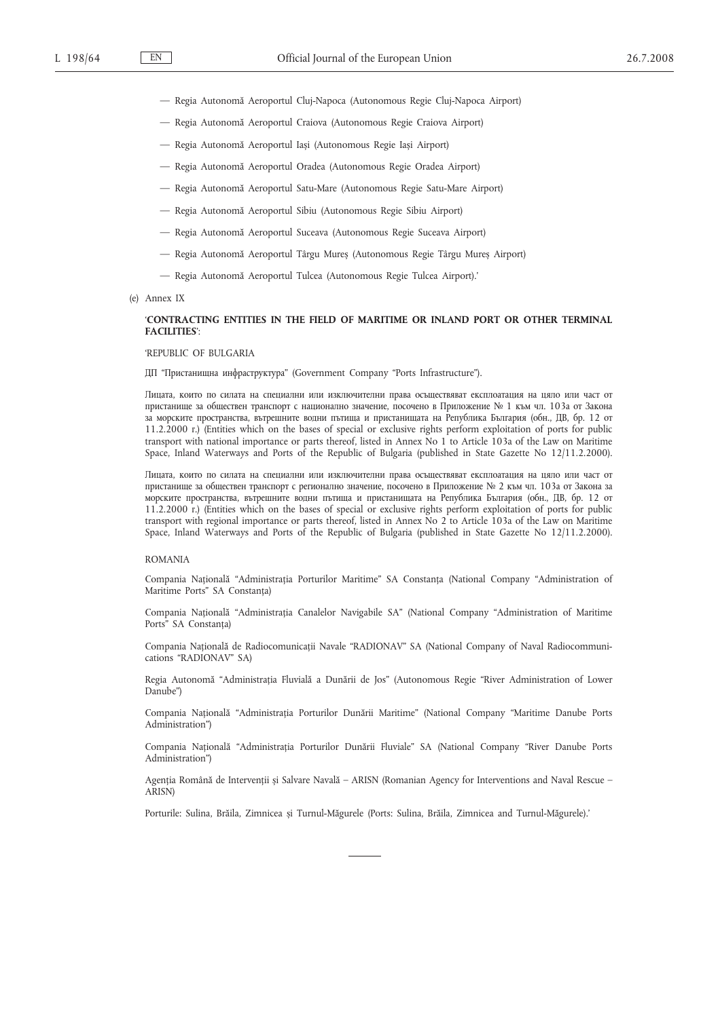- Regia Autonomă Aeroportul Cluj-Napoca (Autonomous Regie Cluj-Napoca Airport)
- Regia Autonomă Aeroportul Craiova (Autonomous Regie Craiova Airport)
- Regia Autonomă Aeroportul Iași (Autonomous Regie Iași Airport)
- Regia Autonomă Aeroportul Oradea (Autonomous Regie Oradea Airport)
- Regia Autonomă Aeroportul Satu-Mare (Autonomous Regie Satu-Mare Airport)
- Regia Autonomă Aeroportul Sibiu (Autonomous Regie Sibiu Airport)
- Regia Autonomă Aeroportul Suceava (Autonomous Regie Suceava Airport)
- Regia Autonomă Aeroportul Târgu Mureș (Autonomous Regie Târgu Mureș Airport)
- Regia Autonomă Aeroportul Tulcea (Autonomous Regie Tulcea Airport).'
- (e) Annex IX

## '**CONTRACTING ENTITIES IN THE FIELD OF MARITIME OR INLAND PORT OR OTHER TERMINAL FACILITIES**':

#### 'REPUBLIC OF BULGARIA

ДП "Пристанищна инфраструктура" (Government Company "Ports Infrastructure").

Лицата, които по силата на специални или изключителни права осъществяват експлоатация на цяло или част от пристанище за обществен транспорт с национално значение, посочено в Приложение № 1 към чл. 103а от Закона за морските пространства, вътрешните водни пътища и пристанищата на Република България (обн., ДВ, бр. 12 от 11.2.2000 г.) (Entities which on the bases of special or exclusive rights perform exploitation of ports for public transport with national importance or parts thereof, listed in Annex No 1 to Article 103a of the Law on Maritime Space, Inland Waterways and Ports of the Republic of Bulgaria (published in State Gazette No 12/11.2.2000).

Лицата, които по силата на специални или изключителни права осъществяват експлоатация на цяло или част от пристанище за обществен транспорт с регионално значение, посочено в Приложение № 2 към чл. 103а от Закона за морските пространства, вътрешните водни пътища и пристанищата на Република България (обн., ДВ, бр. 12 от 11.2.2000 r.) (Entities which on the bases of special or exclusive rights perform exploitation of ports for public transport with regional importance or parts thereof, listed in Annex No 2 to Article 103a of the Law on Maritime Space, Inland Waterways and Ports of the Republic of Bulgaria (published in State Gazette No 12/11.2.2000).

### ROMANIA

Compania Națională "Administrația Porturilor Maritime" SA Constanța (National Company "Administration of Maritime Ports" SA Constanța)

Compania Națională "Administrația Canalelor Navigabile SA" (National Company "Administration of Maritime Ports" SA Constanța)

Compania Națională de Radiocomunicații Navale "RADIONAV" SA (National Company of Naval Radiocommunications "RADIONAV" SA)

Regia Autonomă "Administrația Fluvială a Dunării de Jos" (Autonomous Regie "River Administration of Lower Danube")

Compania Națională "Administrația Porturilor Dunării Maritime" (National Company "Maritime Danube Ports Administration")

Compania Națională "Administrația Porturilor Dunării Fluviale" SA (National Company "River Danube Ports Administration")

Agenția Română de Intervenții și Salvare Navală – ARISN (Romanian Agency for Interventions and Naval Rescue – ARISN)

Porturile: Sulina, Brăila, Zimnicea și Turnul-Măgurele (Ports: Sulina, Brăila, Zimnicea and Turnul-Măgurele).'